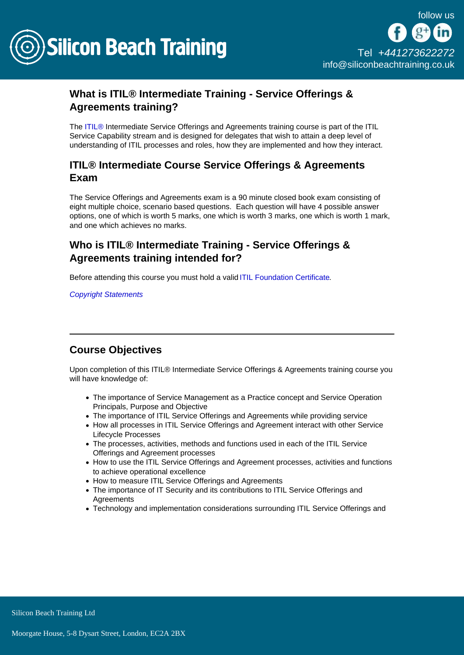

## What is ITIL® Intermediate Training - Service Offerings & Agreements training?

The [ITIL®](/itil-training) Intermediate Service Offerings and Agreements training course is part of the ITIL Service Capability stream and is designed for delegates that wish to attain a deep level of understanding of ITIL processes and roles, how they are implemented and how they interact.

## ITIL® Intermediate Course Service Offerings & Agreements Exam

The Service Offerings and Agreements exam is a 90 minute closed book exam consisting of eight multiple choice, scenario based questions. Each question will have 4 possible answer options, one of which is worth 5 marks, one which is worth 3 marks, one which is worth 1 mark, and one which achieves no marks.

Who is ITIL® Intermediate Training - Service Offerings & Agreements training intended for?

Before attending this course you must hold a valid [ITIL Foundation Certificate.](/itil-training/itil-foundation-training)

[Copyright Statements](/copyright-statements)

## Course Objectives

Upon completion of this ITIL® Intermediate Service Offerings & Agreements training course you will have knowledge of:

- The importance of Service Management as a Practice concept and Service Operation Principals, Purpose and Objective
- The importance of ITIL Service Offerings and Agreements while providing service
- How all processes in ITIL Service Offerings and Agreement interact with other Service Lifecycle Processes
- The processes, activities, methods and functions used in each of the ITIL Service Offerings and Agreement processes
- How to use the ITIL Service Offerings and Agreement processes, activities and functions to achieve operational excellence
- How to measure ITIL Service Offerings and Agreements
- The importance of IT Security and its contributions to ITIL Service Offerings and **Agreements**
- Technology and implementation considerations surrounding ITIL Service Offerings and